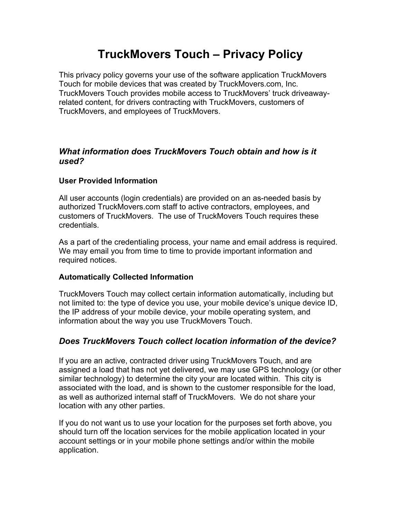# **TruckMovers Touch – Privacy Policy**

This privacy policy governs your use of the software application TruckMovers Touch for mobile devices that was created by TruckMovers.com, Inc. TruckMovers Touch provides mobile access to TruckMovers' truck driveawayrelated content, for drivers contracting with TruckMovers, customers of TruckMovers, and employees of TruckMovers.

# *What information does TruckMovers Touch obtain and how is it used?*

## **User Provided Information**

All user accounts (login credentials) are provided on an as-needed basis by authorized TruckMovers.com staff to active contractors, employees, and customers of TruckMovers. The use of TruckMovers Touch requires these credentials.

As a part of the credentialing process, your name and email address is required. We may email you from time to time to provide important information and required notices.

## **Automatically Collected Information**

TruckMovers Touch may collect certain information automatically, including but not limited to: the type of device you use, your mobile device's unique device ID, the IP address of your mobile device, your mobile operating system, and information about the way you use TruckMovers Touch.

# *Does TruckMovers Touch collect location information of the device?*

If you are an active, contracted driver using TruckMovers Touch, and are assigned a load that has not yet delivered, we may use GPS technology (or other similar technology) to determine the city your are located within. This city is associated with the load, and is shown to the customer responsible for the load, as well as authorized internal staff of TruckMovers. We do not share your location with any other parties.

If you do not want us to use your location for the purposes set forth above, you should turn off the location services for the mobile application located in your account settings or in your mobile phone settings and/or within the mobile application.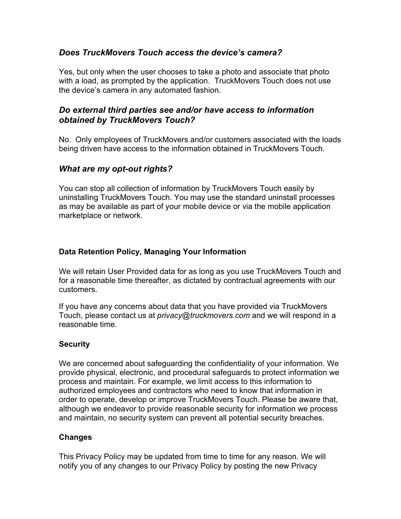# *Does TruckMovers Touch access the device's camera?*

Yes, but only when the user chooses to take a photo and associate that photo with a load, as prompted by the application. TruckMovers Touch does not use the device's camera in any automated fashion.

## *Do external third parties see and/or have access to information obtained by TruckMovers Touch?*

No. Only employees of TruckMovers and/or customers associated with the loads being driven have access to the information obtained in TruckMovers Touch.

## *What are my opt-out rights?*

You can stop all collection of information by TruckMovers Touch easily by uninstalling TruckMovers Touch. You may use the standard uninstall processes as may be available as part of your mobile device or via the mobile application marketplace or network.

#### **Data Retention Policy, Managing Your Information**

We will retain User Provided data for as long as you use TruckMovers Touch and for a reasonable time thereafter, as dictated by contractual agreements with our customers.

If you have any concerns about data that you have provided via TruckMovers Touch, please contact us at *privacy@truckmovers.com* and we will respond in a reasonable time.

## **Security**

We are concerned about safeguarding the confidentiality of your information. We provide physical, electronic, and procedural safeguards to protect information we process and maintain. For example, we limit access to this information to authorized employees and contractors who need to know that information in order to operate, develop or improve TruckMovers Touch. Please be aware that, although we endeavor to provide reasonable security for information we process and maintain, no security system can prevent all potential security breaches.

## **Changes**

This Privacy Policy may be updated from time to time for any reason. We will notify you of any changes to our Privacy Policy by posting the new Privacy